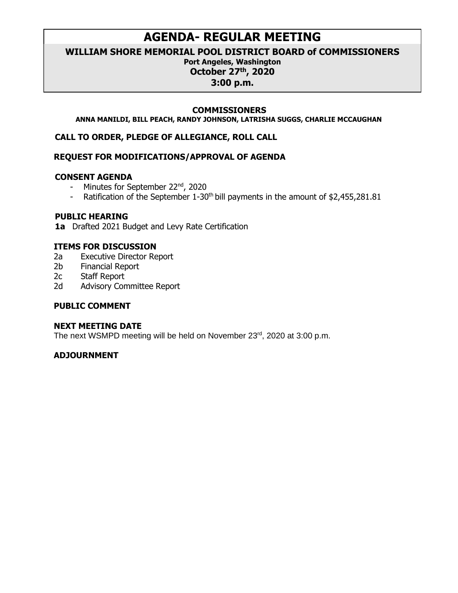# **AGENDA- REGULAR MEETING**

**WILLIAM SHORE MEMORIAL POOL DISTRICT BOARD of COMMISSIONERS**

# **Port Angeles, Washington**

**October 27 th, 2020**

**3:00 p.m.**

#### **COMMISSIONERS**

**ANNA MANILDI, BILL PEACH, RANDY JOHNSON, LATRISHA SUGGS, CHARLIE MCCAUGHAN**

**CALL TO ORDER, PLEDGE OF ALLEGIANCE, ROLL CALL**

# **REQUEST FOR MODIFICATIONS/APPROVAL OF AGENDA**

#### **CONSENT AGENDA**

- Minutes for September 22<sup>nd</sup>, 2020
- Ratification of the September  $1-30<sup>th</sup>$  bill payments in the amount of \$2,455,281.81

#### **PUBLIC HEARING**

**1a** Drafted 2021 Budget and Levy Rate Certification

#### **ITEMS FOR DISCUSSION**

- 2a Executive Director Report
- 2b Financial Report
- 2c Staff Report
- 2d Advisory Committee Report

# **PUBLIC COMMENT**

#### **NEXT MEETING DATE**

The next WSMPD meeting will be held on November 23<sup>rd</sup>, 2020 at 3:00 p.m.

# **ADJOURNMENT**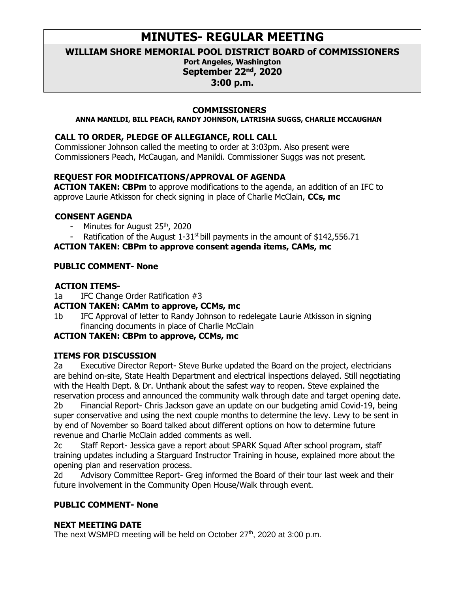# **MINUTES- REGULAR MEETING**

**WILLIAM SHORE MEMORIAL POOL DISTRICT BOARD of COMMISSIONERS**

#### **Port Angeles, Washington September 22 nd, 2020**

**3:00 p.m.**

#### **COMMISSIONERS**

**ANNA MANILDI, BILL PEACH, RANDY JOHNSON, LATRISHA SUGGS, CHARLIE MCCAUGHAN**

# **CALL TO ORDER, PLEDGE OF ALLEGIANCE, ROLL CALL**

Commissioner Johnson called the meeting to order at 3:03pm. Also present were Commissioners Peach, McCaugan, and Manildi. Commissioner Suggs was not present.

# **REQUEST FOR MODIFICATIONS/APPROVAL OF AGENDA**

**ACTION TAKEN: CBPm** to approve modifications to the agenda, an addition of an IFC to approve Laurie Atkisson for check signing in place of Charlie McClain, **CCs, mc**

# **CONSENT AGENDA**

- Minutes for August 25<sup>th</sup>, 2020
- Ratification of the August  $1-31$ <sup>st</sup> bill payments in the amount of \$142,556.71

# **ACTION TAKEN: CBPm to approve consent agenda items, CAMs, mc**

# **PUBLIC COMMENT- None**

# **ACTION ITEMS-**

- 1a IFC Change Order Ratification #3
- **ACTION TAKEN: CAMm to approve, CCMs, mc**
- 1b IFC Approval of letter to Randy Johnson to redelegate Laurie Atkisson in signing financing documents in place of Charlie McClain

# **ACTION TAKEN: CBPm to approve, CCMs, mc**

# **ITEMS FOR DISCUSSION**

2a Executive Director Report- Steve Burke updated the Board on the project, electricians are behind on-site, State Health Department and electrical inspections delayed. Still negotiating with the Health Dept. & Dr. Unthank about the safest way to reopen. Steve explained the reservation process and announced the community walk through date and target opening date. 2b Financial Report- Chris Jackson gave an update on our budgeting amid Covid-19, being super conservative and using the next couple months to determine the levy. Levy to be sent in by end of November so Board talked about different options on how to determine future

revenue and Charlie McClain added comments as well.

2c Staff Report- Jessica gave a report about SPARK Squad After school program, staff training updates including a Starguard Instructor Training in house, explained more about the opening plan and reservation process.

2d Advisory Committee Report- Greg informed the Board of their tour last week and their future involvement in the Community Open House/Walk through event.

# **PUBLIC COMMENT- None**

# **NEXT MEETING DATE**

The next WSMPD meeting will be held on October 27<sup>th</sup>, 2020 at 3:00 p.m.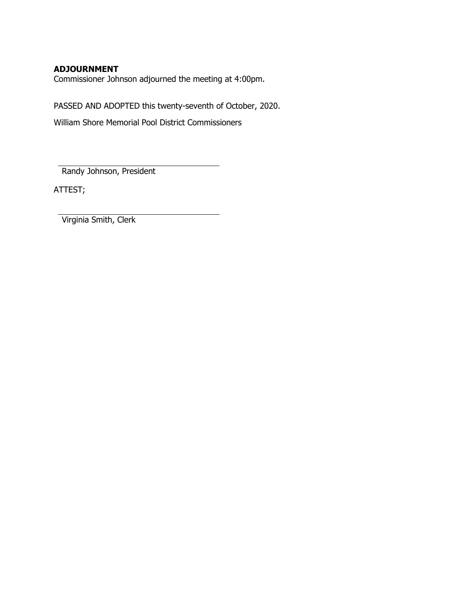#### **ADJOURNMENT**

Commissioner Johnson adjourned the meeting at 4:00pm.

PASSED AND ADOPTED this twenty-seventh of October, 2020.

William Shore Memorial Pool District Commissioners

Randy Johnson, President

ATTEST;

Virginia Smith, Clerk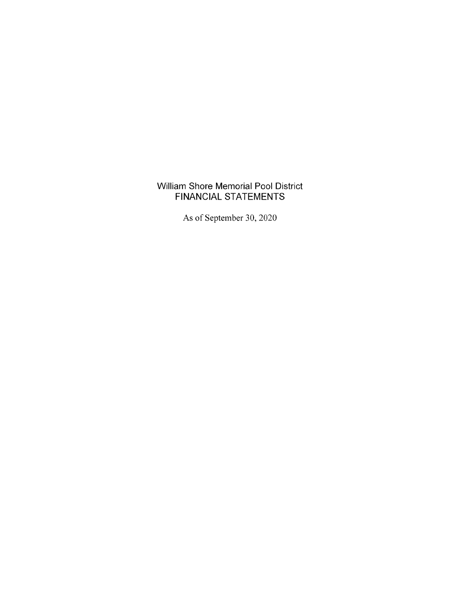# William Shore Memorial Pool District FINANCIAL STATEMENTS

As of September 30,2020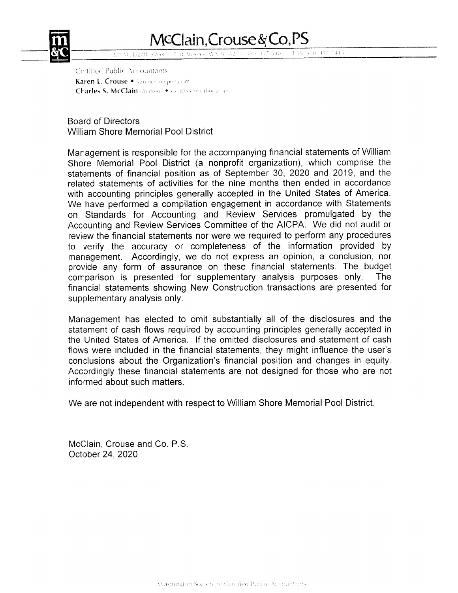

# McClain, Crouse & Co, PS

160 437-3303 HAN 360 457-7415 Post: Angeles, AVA 98362

Certified Public Accountants Karen L. Crouse . karenc@olypen.com Charles S. McClain (Retired) . Sm03509 vaboccom

Board of Directors William Shore Memorial Pool District

Management is responsible for the accompanying financial statements of William Shore Memorial Pool District (a nonprofit organization), which comprise the statements of financial position as of September 30, 2020 and 2019, and the related statements of activities for the nine months then ended in accordance with accounting principles generally accepted in the United States of America. We have performed a compilation engagement in accordance with Statements on Standards for Accounting and Review Services promulgated by the Accounting and Review Services Committee of the AICPA. We did not audit or review the financial statements nor were we required to perform any procedures to verify the accuracy or completeness of the information provided by management. Accordingly, we do not express an opinion, a conclusion, nor provide any form of assurance on these financial statements. The budget comparison is presented for supplementary analysis purposes only. The comparison is presented for supplementary analysis purposes only. financial statements showing New Construction transactions are presented for supplementary analysis only.

Management has elected to omit substantially all of the disclosures and the statement of cash flows required by accounting principles generally accepted in the United States of America. lf the omitted disclosures and statement of cash flows were included in the financial statements, they might influence the user's conclusions about the Organization's financial position and changes in equity. Accordingly these financial statements are not designed for those who are not informed about such matters.

We are not independent with respect to William Shore Memorial Pool District.

McCIain, Crouse and Co. P.S. October 24, 2020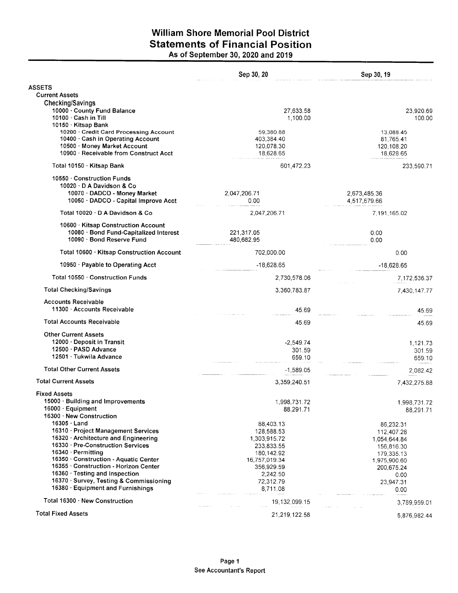# William Shore Memorial Pool District Statements of Financial Position As of September 30, 2020 and 2019

|                                                         | Sep 30, 20                                     | Sep 30, 19                                     |
|---------------------------------------------------------|------------------------------------------------|------------------------------------------------|
| <b>ASSETS</b>                                           |                                                |                                                |
| <b>Current Assets</b>                                   |                                                |                                                |
| Checking/Savings                                        |                                                |                                                |
| 10000 · County Fund Balance                             | 27,633.58                                      | 23,920.69                                      |
| 10100 · Cash in Till                                    | 1,100.00                                       | 100.00                                         |
| 10150 · Kitsap Bank                                     |                                                |                                                |
| 10200 · Credit Card Processing Account                  | 59,380.88                                      | 13,088.45                                      |
| 10400 · Cash in Operating Account                       | 403,384.40                                     | 81,765.41                                      |
| 10500 Money Market Account                              | 120,078.30                                     | 120,108.20                                     |
| 10900 · Receivable from Construct Acct                  | 18,628.65                                      | 18,628.65                                      |
| Total 10150 · Kitsap Bank                               | 601,472.23                                     | 233,590.71                                     |
| 10550 Construction Funds                                |                                                |                                                |
| 10020 D A Davidson & Co                                 |                                                |                                                |
| 10070 · DADCO - Money Market                            | 2,047,206.71                                   | 2,673,485.36                                   |
| 10050 · DADCO - Capital Improve Acct                    | 0.00                                           | 4,517,679.66                                   |
|                                                         |                                                |                                                |
| Total 10020 · D A Davidson & Co                         | 2,047,206.71                                   | 7,191,165.02                                   |
| 10600 Kitsap Construction Account                       |                                                |                                                |
| 10080 · Bond Fund-Capitalized Interest                  | 221,317.05                                     | 0.00                                           |
| 10090 · Bond Reserve Fund                               | 480,682.95                                     | 0.00                                           |
|                                                         |                                                |                                                |
| Total 10600 · Kitsap Construction Account               | 702,000.00                                     | 0.00                                           |
| 10950 · Payable to Operating Acct                       | $-18,628.65$                                   | $-18.628.65$                                   |
| Total 10550 · Construction Funds                        | 2,730,578.06                                   | 7,172,536.37                                   |
| <b>Total Checking/Savings</b>                           | 3,360,783.87                                   | 7,430,147.77                                   |
| <b>Accounts Receivable</b><br>11300 Accounts Receivable | 45.69                                          | 45.69                                          |
| <b>Total Accounts Receivable</b>                        | 45.69                                          | 45.69                                          |
| <b>Other Current Assets</b>                             |                                                |                                                |
| 12000 Deposit in Transit                                | $-2,549.74$                                    | 1,121.73                                       |
| 12500 · PASD Advance                                    | 301.59                                         | 301.59                                         |
| 12501 · Tukwila Advance                                 | 659.10                                         | 659.10                                         |
|                                                         |                                                |                                                |
| <b>Total Other Current Assets</b>                       | $-1,589.05$                                    | 2,082.42                                       |
| <b>Total Current Assets</b>                             | 3,359,240.51                                   | 7,432,275.88                                   |
| <b>Fixed Assets</b>                                     |                                                |                                                |
| 15000 · Building and Improvements                       | 1,998,731.72                                   | 1,998,731.72                                   |
| 16000 · Equipment                                       | 88,291.71                                      | 88,291.71                                      |
| 16300 · New Construction                                |                                                |                                                |
| $16305 \cdot$ Land                                      | 88,403.13                                      | 86,232.31                                      |
| 16310 · Project Management Services                     | 128,588.53                                     | 112,407.28                                     |
| 16320 Architecture and Engineering                      | 1,303,915.72                                   | 1,054,644.84                                   |
| 16330 · Pre-Construction Services                       | 233,833.55                                     | 156,816.30                                     |
| 16340 · Permitting                                      | 180,142.92                                     | 179,335.13                                     |
| 16350 Construction - Aquatic Center                     | 16,757,019.34                                  | 1,975,900.60                                   |
| 16355 Construction - Horizon Center                     | 356,929.59                                     | 200,675.24                                     |
| 16360 · Testing and Inspection                          | 2,242.50                                       | 0.00                                           |
| 16370 · Survey, Testing & Commissioning                 | 72,312.79                                      | 23,947.31                                      |
| 16380 · Equipment and Furnishings                       | 8,711.08                                       | 0.00                                           |
| Total 16300 New Construction                            | 19,132,099.15                                  | 3,789,959.01                                   |
| <b>Total Fixed Assets</b>                               | $\alpha$ , $\beta$ , $\alpha$<br>21,219,122.58 | المستورين<br><b>Contractor</b><br>5,876,982.44 |
|                                                         |                                                |                                                |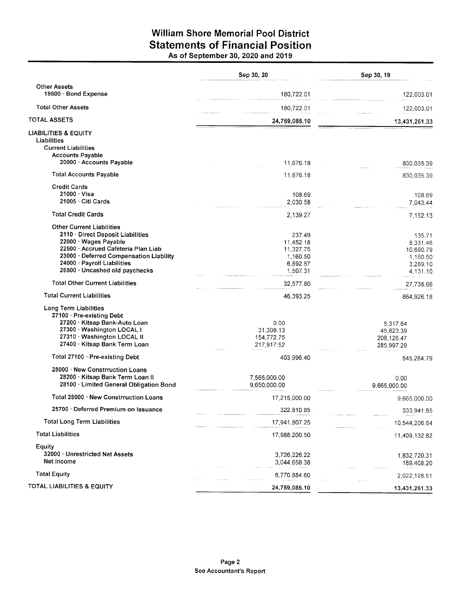# William Shore Memorial Pool District Statements of Financial Position As of September 30, 2020 and 2019

|                                         | Sep 30, 20    | Sep 30, 19    |
|-----------------------------------------|---------------|---------------|
| <b>Other Assets</b>                     |               |               |
| 18600 · Bond Expense                    | 180,722.01    | 122,003.01    |
| <b>Total Other Assets</b>               | 180,722.01    | 122,003.01    |
| <b>TOTAL ASSETS</b>                     | 24,759,085.10 | 13,431,261.33 |
| <b>LIABILITIES &amp; EQUITY</b>         |               |               |
| Liabilities                             |               |               |
| <b>Current Liabilities</b>              |               |               |
| <b>Accounts Payable</b>                 |               |               |
| 20000 · Accounts Payable                | 11,676.18     | 830,035.39    |
| <b>Total Accounts Payable</b>           | 11,676.18     | 830.035.39    |
| <b>Credit Cards</b>                     |               |               |
| $21000 \cdot V$ isa                     | 108.69        | 108.69        |
| 21005 Citi Cards                        | 2,030.58      | 7,043.44      |
| <b>Total Credit Cards</b>               | 2,139.27      | 7,152.13      |
| <b>Other Current Liabilities</b>        |               |               |
| 2110 · Direct Deposit Liabilities       | 237.49        | 135.71        |
| 22000 · Wages Payable                   | 11,452.18     | 8,331.46      |
| 22500 · Accrued Cafeteria Plan Liab     | 11,327.75     | 10.690.79     |
| 23000 · Deferred Compensation Liability | 1,160.50      | 1,160.50      |
| 24000 · Payroll Liabilities             | 6,892.57      | 3,289.10      |
| 26500 · Uncashed old paychecks          | 1,507.31      | 4,131.10      |
| <b>Total Other Current Liabilities</b>  | 32,577.80     | 27,738.66     |
| <b>Total Current Liabilities</b>        | 46,393.25     | 864,926.18    |
| Long Term Liabilities                   |               |               |
| 27100 · Pre-existing Debt               |               |               |
| 27200 · Kitsap Bank-Auto Loan           | 0.00          | 5,317.64      |
| 27300 · Washington LOCAL I              | 31,306.13     | 45,823.39     |
| 27310 · Washington LOCAL II             | 154,772.75    | 208,126.47    |
| 27400 · Kitsap Bank Term Loan           | 217,917.52    | 285,997.29    |
| Total 27100 · Pre-existing Debt         | 403,996.40    | 545,264.79    |
| 28000 · New Constrruction Loans         |               |               |
| 28200 Kitsap Bank Term Loan II          | 7,565,000.00  | 0.00          |
| 28100 · Limited General Obligation Bond | 9,650,000.00  | 9.665.000.00  |
| Total 28000 · New Constrruction Loans   | 17,215,000.00 | 9,665,000.00  |
| 25700 · Deferred Premium on Issuance    | 322,810.85    | 333,941.85    |
| <b>Total Long Term Liabilities</b>      | 17,941,807.25 | 10,544,206.64 |
| <b>Total Liabilities</b>                | 17,988,200.50 | 11,409,132.82 |
| Equity                                  |               |               |
| 32000 · Unrestricted Net Assets         | 3,726,226.22  | 1,832,720.31  |
| Net Income                              | 3,044,658.38  | 189,408.20    |
| <b>Total Equity</b>                     | 6,770,884.60  | 2,022,128.51  |
|                                         |               |               |
| TOTAL LIABILITIES & EQUITY              | 24,759,085.10 | 13,431,261.33 |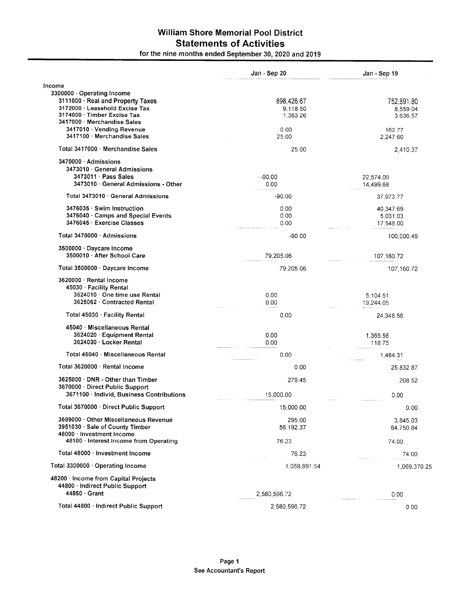# William Shore Memorial Poo! District Statements of Activities

|                                                                     | Jan - Sep 20 | Jan - Sep 19 |
|---------------------------------------------------------------------|--------------|--------------|
| Income                                                              |              |              |
| 3300000 · Operating Income                                          |              |              |
| 3111000 · Real and Property Taxes                                   | 898,426.67   | 752,891.80   |
| 3172000 · Leasehold Excise Tax<br>3174000 Timber Excise Tax         | 9,118.50     | 8,559.04     |
| 3417000 Merchandise Sales                                           | 1,363.26     | 3,636.57     |
| 3417010 · Vending Revenue                                           | 0.00         | 162.77       |
| 3417100 · Merchandise Sales                                         | 25.00        | 2,247.60     |
| Total 3417000 Merchandise Sales                                     | 25.00        | 2,410.37     |
| 3470000 Admissions                                                  |              |              |
| 3473010 General Admissions                                          |              |              |
| 3473011 Pass Sales                                                  | $-90.00$     | 22,574.09    |
| 3473010 · General Admissions - Other                                | 0.00         | 14,499.68    |
| Total 3473010 · General Admissions                                  | $-90.00$     | 37,073.77    |
| 3476035 · Swim Instruction                                          | 0.00         | 40,347.69    |
| 3476040 Camps and Special Events                                    | 0.00         | 5,031.03     |
| 3476045 · Exercise Classes                                          | 0.00         | 17,548.00    |
| Total 3470000 · Admissions                                          | $-90.00$     | 100,000.49   |
| 3500000 · Daycare Income                                            |              |              |
| 3500010 · After School Care                                         | 79,205.06    | 107,160.72   |
| Total 3500000 · Daycare Income                                      | 79,205.06    | 107,160.72   |
| 3620000 · Rental Income                                             |              |              |
| 45030 Facility Rental                                               |              |              |
| 3624010 · One time use Rental                                       | 0.00         | 5,104.51     |
| 3625062 · Contracted Rental                                         | 0.00         | 19,244.05    |
| Total 45030 · Facility Rental                                       | 0.00         | 24,348.56    |
| 45040 Miscellaneous Rental                                          |              |              |
| 3624020 · Equipment Rental                                          | 0.00         | 1,365.56     |
| 3624030 · Locker Rental                                             | 0.00         | 118.75       |
| Total 45040 Miscellaneous Rental                                    | 0.00         | 1,484.31     |
| Total 3620000 · Rental Income                                       | 0.00         | 25,832.87    |
| 3625000 DNR - Other than Timber                                     | 279.45       | 208.52       |
| 3670000 · Direct Public Support                                     |              |              |
| 3671100 · Individ, Business Contributions                           | 15,000.00    | 0.00         |
| Total 3670000 · Direct Public Support                               | 15,000.00    | 0.00         |
| 3699000 · Other Miscellaneous Revenue                               | 295.00       | 3,845.03     |
| 3951030 · Sale of County Timber                                     | 56,192.37    | 64,750.84    |
| 48000 · Investment Income<br>48100 · Interest Income from Operating |              |              |
|                                                                     | 76.23        | 74.00        |
| Total 48000 · Investment Income                                     | 76.23        | 74.00        |
| Total 3300000 Operating Income                                      | 1.059.891.54 | 1,069,370.25 |
| 48200 · Income from Capital Projects                                |              |              |
| 44800 · Indirect Public Support                                     |              |              |
| 44850 · Grant                                                       | 2,580,596.72 | 0.00         |
| Total 44800 · Indirect Public Support                               | 2,580,596.72 | 0.00         |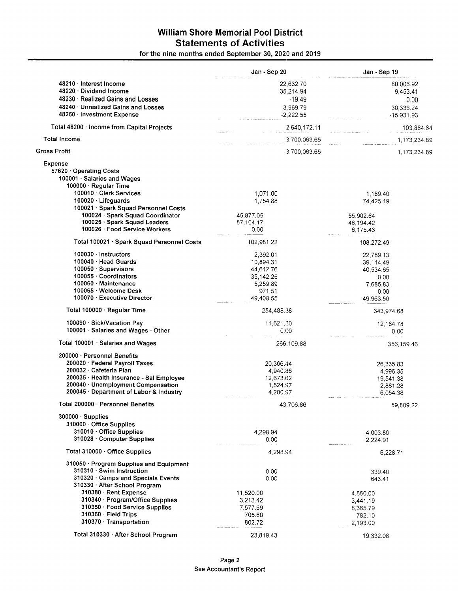# William Shore Memorial Pool District Statements of Activities

|                                                                                                 | Jan - Sep 20      | Jan - Sep 19              |
|-------------------------------------------------------------------------------------------------|-------------------|---------------------------|
| 48210 · Interest Income                                                                         | 22,632.70         | 80,006.92                 |
| 48220 Dividend Income                                                                           | 35,214.94         | 9,453.41                  |
| 48230 · Realized Gains and Losses                                                               | $-19.49$          | 0.00                      |
| 48240 · Unrealized Gains and Losses                                                             | 3,969.79          |                           |
| 48250 · Investment Expense                                                                      | $-2.222.55$       | 30,336.24<br>$-15,931.93$ |
| Total 48200 · Income from Capital Projects                                                      | 2,640,172.11      | 103,864.64                |
| <b>Total Income</b>                                                                             | 3,700,063.65      | 1,173,234.89              |
| <b>Gross Profit</b>                                                                             | 3,700,063.65      | 1,173,234.89              |
| <b>Expense</b><br>57620 Operating Costs<br>100001 · Salaries and Wages<br>100000 · Regular Time |                   |                           |
| 100010 Clerk Services                                                                           | 1,071.00          | 1,189.40                  |
| 100020 · Lifeguards                                                                             | 1,754.88          | 74,425.19                 |
|                                                                                                 |                   |                           |
| 100021 · Spark Squad Personnel Costs                                                            |                   |                           |
| 100024 · Spark Squad Coordinator<br>100025 · Spark Squad Leaders                                | 45,877.05         | 55,902.64                 |
| 100026 · Food Service Workers                                                                   | 57,104.17<br>0.00 | 46,194.42<br>6,175.43     |
| Total 100021 · Spark Squad Personnel Costs                                                      | 102,981.22        | 108,272.49                |
| $100030 \cdot$ Instructors                                                                      | 2,392.01          | 22,789.13                 |
| 100040 · Head Guards                                                                            | 10,894.31         | 39,114.49                 |
| 100050 · Supervisors                                                                            | 44,612.76         | 40,534.65                 |
| 100055 · Coordinators                                                                           | 35, 142. 25       |                           |
| 100060 · Maintenance                                                                            |                   | 0.00                      |
|                                                                                                 | 5,259.89          | 7,685.83                  |
| 100065 · Welcome Desk                                                                           | 971.51            | 0.00                      |
| 100070 · Executive Director                                                                     | 49,408.55         | 49,963.50                 |
| Total 100000 · Regular Time                                                                     | 254,488.38        | 343,974.68                |
| 100090 · Sick/Vacation Pay                                                                      | 11,621.50         | 12,184.78                 |
| 100001 · Salaries and Wages - Other                                                             | 0.00              | 0.00                      |
| Total 100001 · Salaries and Wages                                                               | 266,109.88        | 356,159.46                |
| 200000 · Personnel Benefits                                                                     |                   |                           |
| 200020 · Federal Payroll Taxes                                                                  | 20,366.44         | 26,335.83                 |
| 200032 Cafeteria Plan                                                                           | 4,940.86          | 4,996.35                  |
| 200035 · Health Insurance - Sal Employee                                                        | 12,673.62         | 19,541.38                 |
| 200040 · Unemployment Compensation                                                              | 1,524.97          | 2,881.28                  |
| 200045 · Department of Labor & Industry                                                         | 4,200.97          | 6,054.38                  |
| Total 200000 · Personnel Benefits                                                               | 43,706.86         | 59,809.22                 |
| $300000 \cdot$ Supplies                                                                         |                   |                           |
| 310000 Office Supplies                                                                          |                   |                           |
| 310010 · Office Supplies                                                                        | 4,298.94          |                           |
| 310028 Computer Supplies                                                                        | 0.00              | 4,003.80<br>2,224.91      |
|                                                                                                 |                   |                           |
| Total 310000 · Office Supplies<br>310050 · Program Supplies and Equipment                       | 4,298.94          | 6,228.71                  |
| 310310 · Swim Instruction                                                                       | 0.00              |                           |
|                                                                                                 |                   | 339.40                    |
| 310320 · Camps and Specials Events                                                              | 0.00              | 643.41                    |
| 310330 · After School Program                                                                   |                   |                           |
| 310380 · Rent Expense                                                                           | 11,520.00         | 4,550.00                  |
| 310340 · Program/Office Supplies                                                                | 3,213.42          | 3,441.19                  |
| 310350 · Food Service Supplies                                                                  | 7,577.69          | 8,365.79                  |
| $310360 \cdot$ Field Trips                                                                      | 705.60            | 782.10                    |
| 310370 · Transportation                                                                         | 802.72            | 2,193.00                  |
|                                                                                                 |                   |                           |
| Total 310330 · After School Program                                                             | 23,819.43         | 19,332.08                 |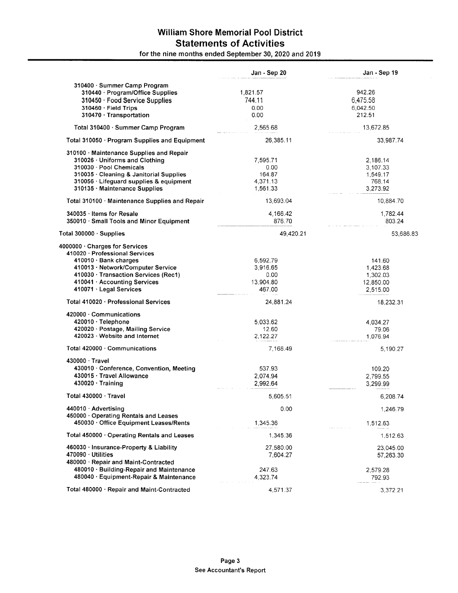# William Shore Memorial Pool District Statements of Activities

|                                                | Jan - Sep 20 | Jan - Sep 19 |
|------------------------------------------------|--------------|--------------|
| 310400 · Summer Camp Program                   |              |              |
| 310440 · Program/Office Supplies               | 1,821.57     | 942.26       |
| 310450 · Food Service Supplies                 | 744.11       | 6,475.58     |
| 310460 · Field Trips                           | 0.00         | 6.042.50     |
| 310470 · Transportation                        | 0.00         | 212.51       |
|                                                |              |              |
| Total 310400 · Summer Camp Program             | 2,565.68     | 13,672.85    |
| Total 310050 · Program Supplies and Equipment  | 26,385.11    | 33,987.74    |
| 310100 Maintenance Supplies and Repair         |              |              |
| 310026 Uniforms and Clothing                   | 7,595.71     | 2,186.14     |
| 310030 Pool Chemicals                          | 0.00         | 3,107.33     |
| 310035 · Cleaning & Janitorial Supplies        | 164.87       | 1,549.17     |
| 310056 · Lifeguard supplies & equipment        | 4,371.13     | 768.14       |
| 310135 Maintenance Supplies                    | 1,561.33     | 3,273.92     |
| Total 310100 · Maintenance Supplies and Repair | 13,693.04    | 10,884.70    |
| 340035 Items for Resale                        | 4,166.42     | 1,782.44     |
| 350010 · Small Tools and Minor Equipment       | 876.70       | 803.24       |
| Total 300000 · Supplies                        | 49,420.21    | 53,686.83    |
| 4000000 · Charges for Services                 |              |              |
| 410020 · Professional Services                 |              |              |
| 410010 · Bank charges                          | 6,592.79     | 141.60       |
| 410013 · Network/Computer Service              | 3,916.65     | 1,423.68     |
| 410030 · Transaction Services (Rec1)           | 0.00         | 1,302.03     |
| 410041 Accounting Services                     | 13,904.80    | 12,850.00    |
| 410071 · Legal Services                        | 467.00       | 2,515.00     |
| Total 410020 · Professional Services           | 24,881.24    | 18,232.31    |
| 420000 · Communications                        |              |              |
| 420010 · Telephone                             | 5,033.62     | 4,034.27     |
| 420020 · Postage, Mailing Service              | 12.60        | 79.06        |
| 420023 Website and Internet                    | 2,122.27     | 1,076.94     |
| Total 420000 · Communications                  | 7,168.49     | 5,190.27     |
| $430000 \cdot$ Travel                          |              |              |
| 430010 · Conference, Convention, Meeting       | 537.93       | 109.20       |
| 430015 · Travel Allowance                      | 2.074.94     | 2,799.55     |
| $430020 \cdot$ Training                        | 2,992.64     | 3,299.99     |
| Total 430000 Travel                            | 5,605.51     | 6,208.74     |
| 440010 · Advertising                           | 0.00         | 1,246.79     |
| 450000 Operating Rentals and Leases            |              |              |
| 450030 · Office Equipment Leases/Rents         | 1,345.36     | 1,512.63     |
| Total 450000 · Operating Rentals and Leases    | 1,345.36     | 1,512.63     |
| 460030 · Insurance-Property & Liability        | 27,580.00    | 23,045.00    |
| 470090 · Utilities                             | 7,604.27     | 57,263.30    |
| 480000 · Repair and Maint-Contracted           |              |              |
| 480010 · Building-Repair and Maintenance       | 247.63       | 2,579.28     |
| 480040 · Equipment-Repair & Maintenance        | 4,323.74     | 792.93       |
|                                                |              |              |
| Total 480000 · Repair and Maint-Contracted     | 4,571.37     | 3,372.21     |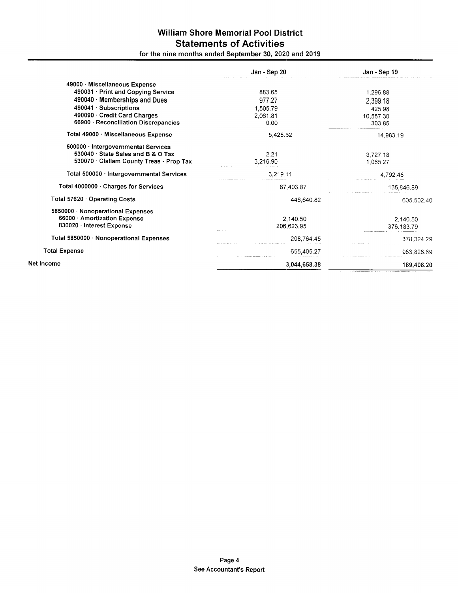# William Shore Memorial Pool District Statements of Activities

|                                                                                                                     | Jan - Sep 20           | Jan - Sep 19           |
|---------------------------------------------------------------------------------------------------------------------|------------------------|------------------------|
| 49000 Miscellaneous Expense                                                                                         |                        |                        |
| 490031 · Print and Copying Service                                                                                  | 883.65                 | 1,296.88               |
| 490040 · Memberships and Dues                                                                                       | 977.27                 | 2,399.18               |
| $490041 \cdot$ Subscriptions                                                                                        | 1,505.79               | 425.98                 |
| 490090 · Credit Card Charges                                                                                        | 2,061.81               | 10,557.30              |
| 66900 · Reconciliation Discrepancies                                                                                | 0.00                   | 303.85                 |
| Total 49000 · Miscellaneous Expense                                                                                 | 5,428.52               | 14,983.19              |
| 500000 · Intergovernmental Services<br>530040 State Sales and B & O Tax<br>530070 · Clallam County Treas - Prop Tax | 2.21<br>3,216.90       | 3,727.18<br>1,065.27   |
| Total 500000 · Intergovernmental Services                                                                           | 3,219.11               | 4,792.45               |
| Total 4000000 · Charges for Services                                                                                | 87,403.87              | 135,846.89             |
| Total 57620 Operating Costs                                                                                         | 446,640.82             | 605,502.40             |
| 5850000 · Nonoperational Expenses<br>66000 Amortization Expense<br>830020 · Interest Expense                        | 2,140.50<br>206,623.95 | 2,140.50<br>376,183.79 |
| Total 5850000 · Nonoperational Expenses                                                                             | 208,764.45             | 378,324.29             |
| <b>Total Expense</b>                                                                                                | 655,405.27             | 983,826.69             |
| Net Income                                                                                                          | 3,044,658.38           | 189,408.20             |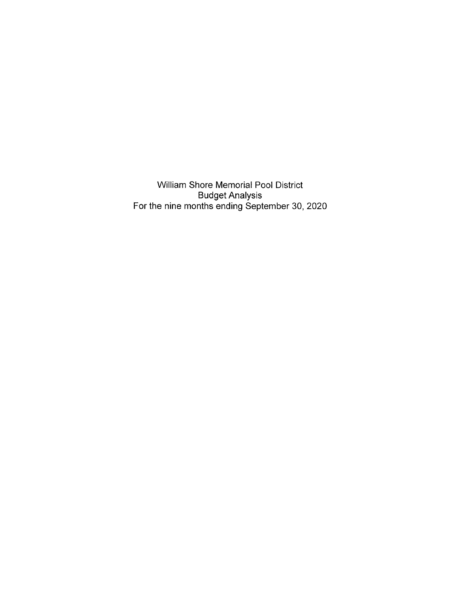William Shore Memorial Pool District Budget Analysis For the nine months ending September 30,2020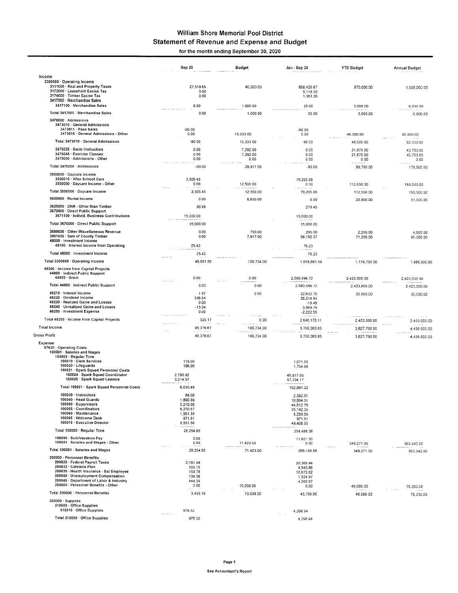#### William Shore Memorial Pool District Statement of Revenue and Expense and Budget for the month ending September 30, 2020

lncome 3300000. Operating lncome 3111000. Real and Property Taxes 3172000. Leasehold Excise Tax 3174000. Timber Excise Tax <sup>3417000</sup>. Merchandise Sales 3417100. Merchandise Sales Total 3417000 · Merchandise Sales 3470000 - Admissions 3473010. General Admissions 3473011 · Pass Sales<br>3473010 · General Admissions - Other Total 3473010 General Admissions 3476035. Swim lnstruction 3476045. Exercise Classes <sup>3470000</sup>.Admissions - Other Total 3470000 · Admissions 3500000. Daycare lncome 3500010 . After School Care 3500000 . Daycare lncome - Olher Total 3500000. Oaycare lncome 3620000.Rental lncome <sup>3625000</sup>. DNR - Other than Timber 3670000. Direct Public Supporl 3671'100. lndivid, Business Contributions Total 3670000. Direct Public Suppon 3699000. Other Miscellaneous Revenue 3951030.Sale of County Timber 48000 · Investment Incom 48100 · Interest Income from Operating Total 48000 · Investment Income Total 3300000. operating lncome 48200 · Income from Capital Projects<br>44800 · Indirect Public Support<br>44850 · Grant Total 44800. lndirect Public Support 48210. lnterest lncome 48220 Dividend lncome 48230 · Realized Gains and Losses<br>48240 · Unrealized Gains and Losses 48250. lnvestment Expense Total 48200 · Income from Capital Projects Total lncome Gross Profit Expense 57620 · Operating Costs<br>100001 · Salaries and Wages<br>100000 · Regular Time<br>100010 · Clerk Services 100020. Lileguards 100021 . Spark Squad Personnel Costs 100024 Spark Squad Coordinator 100025. Spark Squad Leaders Total 100021 · Spark Squad Personnel Costs 100030 · Instructors<br>100040 · Head Guards<br>100050 · Supervisors<br>100055 · Coordinators<br>100060 · Maintenance<br>100065 · Welcome Desk 100070 Executive Director Totat 100000. Reqular Time 100090 · Sick/Vacation Pay<br>100001 · Salaries and Wages - Other Total 100001 · Salaries and Wages 200000 . Personnel Eenefits 200020 · Federal Payroll Taxes<br>200032 · Cafeteria Plan<br>200035 · Health Insurance - Sal Employee 200040 · Unemployment Compensation<br>200045 · Department of Labor & Industry<br>200000 · Personnel Benefits - Other Total 200000. Personnel Benefits 300000.Supplies 310000.Office Supplies 310010 . Office Supplies Total 310000. office supplies Sep 20 27,519.65 000 0.00 0.00 0.00 -90 00 0.00 ,90 00 0.00 0.00 0.00 -90 00 3,505.45 0.00 3,505.45 0.oo 90.98 15,000.00 15,000.00 0.00 0.00 25.42 25.42 Budget 40,000.00 1.000 00 1,000 00 <sup>1</sup>5,333 00 <sup>1</sup>5,333 00 7,292.00 7,292.00 0.00 29,917 00 12 500 00 <sup>1</sup>2,500.00 6,650.00 Jan - Sep 20 898 426.67 9,118.50<br>1,363.26 25.00 25.00 YTD Budgel 870,000 00 3 000 00 3,000.00 46.000.00 46,000 00 21,875.00 21,875.00 0.00 89,750 00 112,500 00 112,500 00 25,950.00 2,250.00 71,250.00 Annual Budget 1,500,000.00 6,000 00 6,000.00 92 000.00 92.000 00 43,750.00 43,750 00 000 179 500 00 <sup>1</sup>50,000 00 <sup>1</sup>50,000 00 51,900 00 750.00 7,917.00 -90 00 0.00 -90 00 0.00 0.00 0.00 -90.00 79,205 06 000 79,205.06  $0.00$ 279.45 <sup>1</sup>5,000.00 15,000 00 295.00 56,192 37 76.23 76.23 4,500 00 9s,000 00 46,051.50 100,734.00 1,059,891.54 1,174,700.00 1,986,900.00 0.00 0.00 1.97 336.54 0.00 -13.34 000 325 17 46 376 67 46 376 67 119.00 196.00 2,795.92<br>3,214.57 6,010.49 84.00 1,890.39 5,210.00 6,270.57 1,951.39 971.51 28,254 85 0.00 0.00 28,254.85 2,161.49 555.1 5 159 78 134 36 444 39 000 3 455 19 1,059,891.54 2,580,596.72 2,580,596 72 22,632 7a 35,214.94 -19.49 3,969 79 2,644172.11 3,700,063.65 3,700,063.65 1,071 00 1,754 88 45,877.05 57,104.17 102,981.22 2,392.01 10,894.31 44,612.76 35.142 25 5,259.89 971.51 49,408.55 254,488 38 <sup>1</sup>1,621 50 000 266,109 88 20,366.44 4,940.86 12,673.62 <sup>1</sup>,524 97 4 200 97 0.00 43,706.86 4,298 94 4,298 94 1,1 74,700.00 2,423,000 00 2,423,000.00 30,000.00 2,453,000 00 3,627,700.00 3,627,700 00 2,423,000 00 2,423,000.00 30,000.00 2.453,000.00 4.439,900 00 4.439,900 00 563,542 00 563,542 00 79 200 00 79,200.00 100 734.00 0.00 0.00 000  $0.00$ 100,734.00 100,734.00 71.423\_AO 71 423.00 10,038 00 <sup>1</sup>0,038.00 349,271.0A 349,271.04 49,086.00 49,066 00 978 32 978.32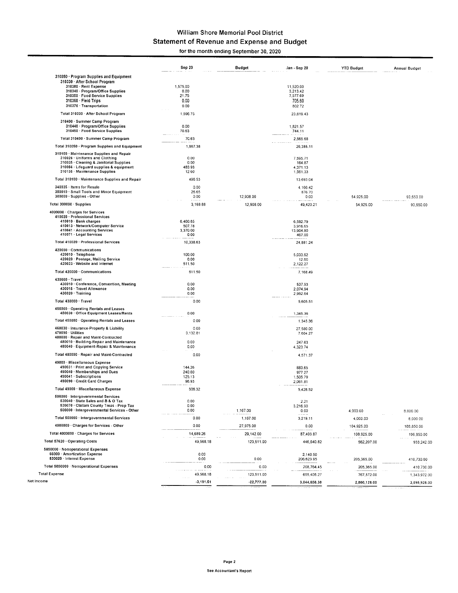# William Shore Memorial Pool District Statement of Revenue and Expense and Budget

for the month ending September 30, 2020

|                                                                                                  | Sep 20             | Budget       | Jan - Sep 20          | <b>YTD Budget</b> | <b>Annual Budget</b> |
|--------------------------------------------------------------------------------------------------|--------------------|--------------|-----------------------|-------------------|----------------------|
| 310050 · Program Supplies and Equipment<br>310330 · After School Program                         |                    |              |                       |                   |                      |
| 310380 · Rent Expense                                                                            | 1,575.00           |              | 11,520.00             |                   |                      |
| 310340 Program/Office Supplies<br>310350 · Food Service Supplies                                 | 0.00<br>21.75      |              | 3,213.42<br>7,577.69  |                   |                      |
| $310360 \cdot$ Field Trips                                                                       | 0.00               |              | 705.60                |                   |                      |
| 310370 Transportation                                                                            | 0.00               |              | 802.72                |                   |                      |
| Total 310330 · After School Program                                                              | 1,596.75           |              | 23.819.43             |                   |                      |
| 310400 · Summer Camp Program<br>310440 · Program/Office Supplies<br>310450 Food Service Supplies | 0.00<br>70.63      |              | 1,821.57<br>744.11    |                   |                      |
| Total 310400 · Summer Camp Program                                                               | 70.63              |              | 2,565.68              |                   |                      |
| Total 310050 · Program Supplies and Equipment                                                    | 1,667.38           |              | 26,385.11             |                   |                      |
| 310100 · Maintenance Supplies and Repair                                                         |                    |              |                       |                   |                      |
| 310026 · Uniforms and Clothing                                                                   | 0.00               |              | 7,595.71              |                   |                      |
| 310035 Cleaning & Janitorial Supplies<br>310056 · Lifeguard supplies & equipment                 | 0.00<br>483.93     |              | 164.87<br>4,371.13    |                   |                      |
| 310135 Maintenance Supplies                                                                      | 12.60              |              | 1,561.33              |                   |                      |
| Total 310100 · Maintenance Supplies and Repair                                                   | 496.53             |              | 13,693.04             |                   |                      |
| 340035 · Items for Resale                                                                        | 0.00               |              | 4.166.42              |                   |                      |
| 350010 · Small Tools and Minor Equipment                                                         | 26.65              |              | 876.70                |                   |                      |
| 300000 · Supplies - Other                                                                        | 0.00               | 12,908.00    | 0.00                  | 54,925.00         | 93,650.00            |
| Total 300000 Supplies                                                                            | 3,168.88           | 12,908.00    | 49,420.21             | 54,925.00         | 93,650.00            |
| 4000000 · Charges for Services                                                                   |                    |              |                       |                   |                      |
| 410020 · Professional Services                                                                   |                    |              |                       |                   |                      |
| 410010 Bank charges<br>410013 · Network/Computer Service                                         | 6,460.85           |              | 6,592.79              |                   |                      |
| 410041 - Accounting Services                                                                     | 507.78<br>3,370.00 |              | 3.916.65<br>13,904.80 |                   |                      |
| 410071 · Legal Services                                                                          | 0.00               |              | 467.00                |                   |                      |
| Total 410020 · Professional Services                                                             | 10,338.63          |              | 24,881.24             |                   |                      |
| 420000 · Communications                                                                          |                    |              |                       |                   |                      |
| 420010 · Telephone<br>420020 Postage, Mailing Service                                            | 100.00<br>0.00     |              | 5.033.62<br>12.60     |                   |                      |
| 420023 Website and Internet                                                                      | 511.50             |              | 2,122.27              |                   |                      |
| Total 420000 · Communications                                                                    | 611.50             |              | 7,168.49              |                   |                      |
| 430000 · Travel                                                                                  |                    |              |                       |                   |                      |
| 430010 Conference, Convention, Meeting                                                           | 0.00               |              | 537.93                |                   |                      |
| 430015 · Travel Allowance<br>430020 Training                                                     | 0.00<br>0.00       |              | 2,074.94<br>2,992.64  |                   |                      |
|                                                                                                  |                    |              |                       |                   |                      |
| Total 430000 · Travel                                                                            | 0.00               |              | 5,605.51              |                   |                      |
| 450000 · Operating Rentals and Leases<br>450030 Office Equipment Leases/Rents                    | 0.00               |              | 1,345.36              |                   |                      |
| Total 450000 · Operating Rentals and Leases                                                      | 0.00               |              | 1,345.36              |                   |                      |
| 460030 · Insurance-Property & Liability                                                          | 0.00               |              | 27,580.00             |                   |                      |
| 470090 · Utilities                                                                               | 3,132.81           |              | 7,604.27              |                   |                      |
| 480000 · Repair and Maint-Contracted<br>480010 · Building-Repair and Maintenance                 | 0.00               |              |                       |                   |                      |
| 480040 Equipment-Repair & Maintenance                                                            | 0.00               |              | 247.63<br>4,323.74    |                   |                      |
| Total 480000 · Repair and Maint-Contracted                                                       | 0.00               |              |                       |                   |                      |
|                                                                                                  |                    |              | 4,571.37              |                   |                      |
| 49000 · Miscellaneous Expense<br>490031 Print and Copying Service                                | 144.26             |              | 883.65                |                   |                      |
| 490040 Memberships and Dues                                                                      | 240.00             |              | 977.27                |                   |                      |
| 490041 · Subscriptions                                                                           | 125.13             |              | 1,505.79              |                   |                      |
| 490090 Credit Card Charges                                                                       | 96.93              |              | 2,061.81              |                   |                      |
| Total 49000 · Miscellaneous Expense                                                              | 606.32             |              | 5,428.52              |                   |                      |
| 500000 · Intergovernmental Services<br>530040 · State Sales and B & O Tax                        | 0.00               |              | 2.21                  |                   |                      |
| 530070 · Claliam County Treas - Prop Tax                                                         | 0.00               |              | 3,216.90              |                   |                      |
| 500000 · Intergovernmental Services - Other                                                      | 0.00               | 1,167.00     | 0.00                  | 4.000.00          | 8,000.00             |
| Total 500000 · Intergovernmental Services                                                        | 0.00               | 1,167.00     | 3,219.11              | 4,000.00          | 8,000.00             |
| 4000000 · Charges for Services - Other                                                           | 0.00               | 27,975.00    | 0.00                  | 104,925.00        | 188,850.00           |
| Total 4000000 · Charges for Services                                                             | 14,689.26          | 29,142.00    | 87,403.87             | 108,925.00        | 196,850.00           |
| Total 57620 · Operating Costs                                                                    | 49,568.18          | 123,511.00   | 446,640.82            | 562,207.00        | 933,242.00           |
| 5850000 · Nonoperational Expenses                                                                |                    |              |                       |                   |                      |
| 66000 · Amortization Expense                                                                     | 0.00               |              | 2,140.50              |                   |                      |
| 830020 · Interest Expense                                                                        | 0.00               | 0.00         | 206,623.95            | 205,365.00        | 410,730.00           |
| Total 5850000 · Nonoperational Expenses                                                          | 0.00               | 0.00         | 208.764.45            | 205,365.00        | 410,730.00           |
| <b>Total Expense</b>                                                                             | 49,568.18          | 123,511.00   | 655,405.27            | 767,572.00        | 1,343,972.00         |
| Net Income                                                                                       | $-3,191.51$        | $-22,777.00$ | 3,044,658.38          | 2,860,128.00      | 3,095,928.00         |
|                                                                                                  |                    |              |                       |                   |                      |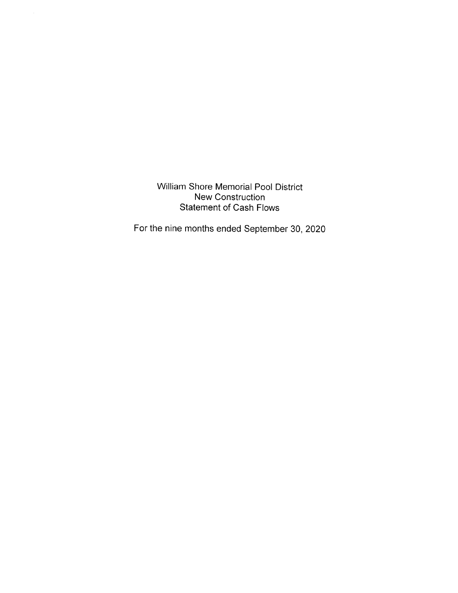William Shore Memorial Pool District New Construction Statement of Cash Flows

For the nine months ended September 30,2020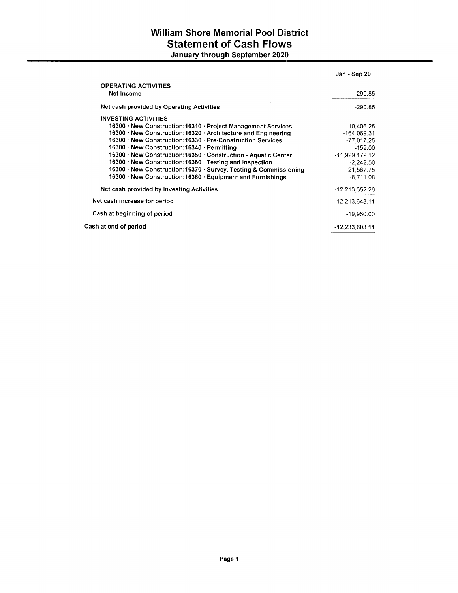# William Shore Memorial Pool District Statement of Cash Flows January through September 2020

|                                                                  | Jan - Sep 20   |
|------------------------------------------------------------------|----------------|
| <b>OPERATING ACTIVITIES</b><br>Net Income                        | -290.85        |
| Net cash provided by Operating Activities                        | $-290.85$      |
| <b>INVESTING ACTIVITIES</b>                                      |                |
| 16300 · New Construction: 16310 · Project Management Services    | $-10,406.25$   |
| 16300 · New Construction: 16320 · Architecture and Engineering   | $-164,069.31$  |
| 16300 · New Construction:16330 · Pre-Construction Services       | $-77,017.25$   |
| 16300 · New Construction: 16340 · Permitting                     | $-159.00$      |
| 16300 · New Construction:16350 · Construction - Aquatic Center   | -11,929,179.12 |
| 16300 · New Construction: 16360 · Testing and Inspection         | $-2.242.50$    |
| 16300 · New Construction:16370 · Survey, Testing & Commissioning | $-21,567.75$   |
| 16300 · New Construction: 16380 · Equipment and Furnishings      | $-8,711.08$    |
| Net cash provided by Investing Activities                        | -12,213,352.26 |
| Net cash increase for period                                     | -12,213,643.11 |
| Cash at beginning of period                                      | -19,960.00     |
| Cash at end of period                                            | -12.233.603.11 |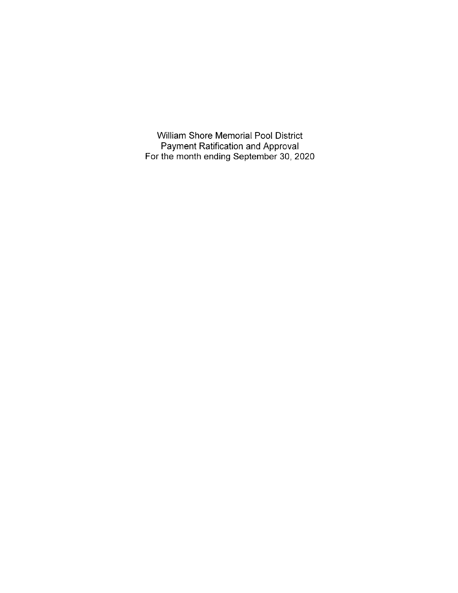William Shore Memorial Pool District Payment Ratification and Approval For the month ending September 30,2020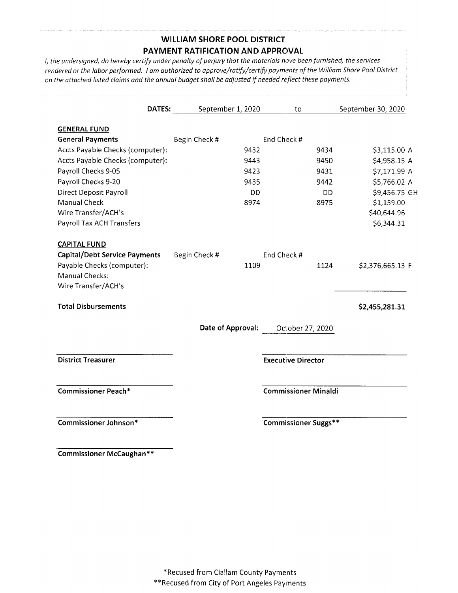# WILLIAM SHORE POOL DISTRICT PAYMENT RATIFICATION AND APPROVAL

l, the undersigned, do hereby certify under penolty of perjury thot the materials hove been furnished, the services rendered or the labor performed. I am authorized to approve/ratify/certify payments of the William Shore Pool District on the attached listed claims and the annual budget shall be adjusted if needed reflect these payments.

| <b>DATES:</b>                        | September 1, 2020 |      | to                          |      | September 30, 2020 |
|--------------------------------------|-------------------|------|-----------------------------|------|--------------------|
| <b>GENERAL FUND</b>                  |                   |      |                             |      |                    |
| <b>General Payments</b>              | Begin Check #     |      | End Check #                 |      |                    |
| Accts Payable Checks (computer):     |                   | 9432 |                             | 9434 | \$3,115.00 A       |
| Accts Payable Checks (computer):     |                   | 9443 |                             | 9450 | \$4,958.15 A       |
| Payroll Checks 9-05                  |                   | 9423 |                             | 9431 | \$7,171.99 A       |
| Payroll Checks 9-20                  |                   | 9435 |                             | 9442 | \$5,766.02 A       |
| <b>Direct Deposit Payroll</b>        |                   | DD   |                             | DD   | \$9,456.75 GH      |
| Manual Check                         |                   | 8974 |                             | 8975 | \$1,159.00         |
| Wire Transfer/ACH's                  |                   |      |                             |      | \$40,644.96        |
| Payroll Tax ACH Transfers            |                   |      |                             |      | \$6,344.31         |
| <b>CAPITAL FUND</b>                  |                   |      |                             |      |                    |
| <b>Capital/Debt Service Payments</b> | Begin Check #     |      | End Check #                 |      |                    |
| Payable Checks (computer):           |                   | 1109 |                             | 1124 | \$2,376,665.13 F   |
| <b>Manual Checks:</b>                |                   |      |                             |      |                    |
| Wire Transfer/ACH's                  |                   |      |                             |      |                    |
| <b>Total Disbursements</b>           |                   |      |                             |      | \$2,455,281.31     |
|                                      | Date of Approval: |      | October 27, 2020            |      |                    |
| <b>District Treasurer</b>            |                   |      | <b>Executive Director</b>   |      |                    |
| <b>Commissioner Peach*</b>           |                   |      | <b>Commissioner Minaldi</b> |      |                    |
| Commissioner Johnson*                |                   |      | <b>Commissioner Suggs**</b> |      |                    |

Commissioner McCaughan\*\*

\*Recused from Clallam County Payments \*\*Recused from City of Port Angeles Payments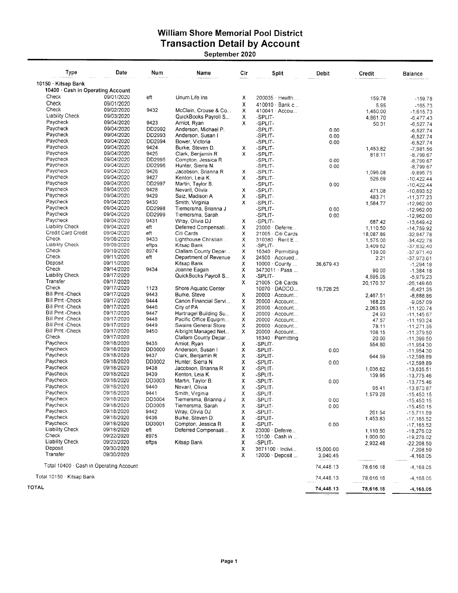### William Shore Memorial Pool District **Transaction Detail by Account** September 2020

| <b>Type</b>                             | Date       | Num    | Name                  | Cir | Split                 | Debit     | Credit    | <b>Balance</b> |
|-----------------------------------------|------------|--------|-----------------------|-----|-----------------------|-----------|-----------|----------------|
| 10150 · Kitsap Bank                     |            |        |                       |     |                       |           |           |                |
| 10400 · Cash in Operating Account       |            |        |                       |     |                       |           |           |                |
| Check                                   | 09/01/2020 | eft    | Unum Life Ins         | х   | 200035 Health         |           | 159.78    | $-159.78$      |
| Check                                   | 09/01/2020 |        |                       | x   | 410010 Bank c         |           | 5.95      | $-165.73$      |
| Check                                   | 09/02/2020 | 9432   | McClain, Crouse & Co  | х   | 410041 Accou          |           | 1,450.00  | $-1,615.73$    |
| <b>Liability Check</b>                  | 09/03/2020 |        | QuickBooks Payroll S  | х   | -SPLIT-               |           | 4,861.70  | $-6,477.43$    |
| Paycheck                                | 09/04/2020 | 9423   | Amiot, Ryan           | x   | -SPLIT-               |           | 50.31     | $-6,527.74$    |
| Paycheck                                | 09/04/2020 | DD2992 | Anderson, Michael P.  |     | -SPLIT-               | 0.00      |           | $-6,527.74$    |
| Paycheck                                | 09/04/2020 | DD2993 | Anderson, Susan I     |     | -SPLIT-               | 0.00      |           | $-6,527.74$    |
| Paycheck                                | 09/04/2020 | DD2994 | Bower, Victoria       |     | -SPLIT-               | 0.00      |           | $-6,527.74$    |
| Paycheck                                | 09/04/2020 | 9424   | Burke, Steven D.      | х   | -SPLIT-               |           | 1,453.82  | $-7,981.56$    |
| Paycheck                                | 09/04/2020 | 9425   | Clark, Benjamin R     | х   | -SPLIT-               |           | 818.11    | $-8,799.67$    |
| Paycheck                                | 09/04/2020 | DD2995 | Compton, Jessica R    |     | -SPLIT-               | 0.00      |           | $-8,799.67$    |
| Paycheck                                | 09/04/2020 | DD2996 | Hunter, Sierra N.     |     | -SPLIT-               | 0.00      |           | $-8,799.67$    |
| Paycheck                                | 09/04/2020 | 9426   | Jacobson, Brianna R   | х   | -SPLIT-               |           | 1,096.08  | $-9,895.75$    |
| Paycheck                                | 09/04/2020 | 9427   | Kenton, Leia K.       | X   | -SPLIT-               |           | 526.69    | $-10,422.44$   |
| Paycheck                                | 09/04/2020 | DD2997 | Martin, Taylor B.     |     | -SPLIT-               | 0.00      |           | $-10,422.44$   |
| Paycheck                                | 09/04/2020 | 9428   | Nevaril, Olivia       | x   | -SPLIT-               |           | 471.08    | $-10,893.52$   |
| Paycheck                                | 09/04/2020 | 9429   | Saiz, Madison A       | х   | -SPLIT-               |           | 483.71    | $-11,377.23$   |
| Paycheck                                | 09/04/2020 | 9430   | Smith, Virginia       | x   | -SPLIT-               |           | 1,584.77  | $-12,962.00$   |
| Paycheck                                | 09/04/2020 | DD2998 | Tiemersma, Brianna J  |     | -SPLIT-               | 0.00      |           | $-12,962.00$   |
| Paycheck                                | 09/04/2020 | DD2999 | Tiemersma, Sarah      |     | -SPLIT-               | 0.00      |           | $-12,962.00$   |
| Paycheck                                | 09/04/2020 | 9431   | Wray, Olivia DJ       | х   | -SPLIT-               |           | 687.42    | $-13,649.42$   |
| <b>Liability Check</b>                  | 09/04/2020 | eft    | Deferred Compensati   | х   | 23000 · Deferre       |           | 1,110.50  | $-14,759.92$   |
| Credit Card Credit                      | 09/04/2020 | eft    | Citi Cards            | х   | 21005 · Citi Cards    |           | 18,087.86 | $-32,847.78$   |
| Check                                   | 09/08/2020 | 9433   | Lighthouse Christian  | х   | 310380 Rent E         |           | 1,575.00  | $-34,422.78$   |
| <b>Liability Check</b>                  | 09/09/2020 | eftps  | Kitsap Bank           | х   | -SPLIT-               |           | 3,409.62  | $-37,832.40$   |
| Check                                   | 09/10/2020 | 8974   | Clallam County Depar  | x   | 16340 · Permitting    |           | 139.00    | $-37,971.40$   |
| Check                                   | 09/11/2020 | eft    | Department of Revenue | χ   | 24500 · Accrued       |           | 2.21      | $-37,973.61$   |
| Deposit                                 | 09/11/2020 |        | Kitsap Bank           | х   | $10000 \cdot$ County  | 36,679.43 |           | $-1,294.18$    |
| Check                                   | 09/14/2020 | 9434   | Joanne Eagan          | χ   | 3473011 Pass          |           | 90.00     | $-1,384.18$    |
| <b>Liability Check</b>                  | 09/17/2020 |        | QuickBooks Payroll S  | х   | -SPLIT-               |           | 4,595.05  | $-5,979.23$    |
| Transfer                                | 09/17/2020 |        |                       | х   | 21005 Citi Cards      |           | 20,170.37 | $-26, 149.60$  |
| Check                                   | 09/17/2020 | 1123   | Shore Aquatic Center  |     | 10070 DADCO           | 19,728.25 |           | $-6,421.35$    |
| <b>Bill Pmt-Check</b>                   | 09/17/2020 | 9443   | Burke, Steve          | х   | 20000 · Account       |           | 2,467.51  | $-8,888.86$    |
| <b>Bill Pmt - Check</b>                 | 09/17/2020 | 9444   | Canon Financial Servi | х   | 20000 · Account       |           | 168.23    | $-9,057.09$    |
| <b>Bill Pmt - Check</b>                 | 09/17/2020 | 9446   | City of PA            | χ   | 20000 · Account       |           | 2,063.65  | $-11, 120.74$  |
| <b>Bill Pmt - Check</b>                 | 09/17/2020 | 9447   | Hartnagel Building Su | х   | 20000 · Account       |           | 24.93     | $-11, 145.67$  |
| <b>Bill Pmt-Check</b>                   | 09/17/2020 | 9448   | Pacific Office Equipm | X   | 20000 · Account       |           | 47.57     | $-11, 193.24$  |
| <b>Bill Pmt - Check</b>                 | 09/17/2020 | 9449   | Swains General Store  | х   | 20000 · Account       |           | 78.11     | $-11,271.35$   |
| <b>Bill Pmt - Check</b>                 | 09/17/2020 | 9450   | Albright Managed Net  | x   | 20000 Account         |           | 108.15    | $-11,379.50$   |
| Check                                   | 09/17/2020 |        | Clallam County Depar  |     | 16340 · Permitting    |           | 20.00     | $-11,399.50$   |
| Paycheck                                | 09/18/2020 | 9435   | Amiot, Ryan           | х   | -SPLIT-               |           | 554.80    | $-11,954.30$   |
| Paycheck                                | 09/18/2020 | DD3000 | Anderson, Susan I     | x   | -SPLIT-               | 0.00      |           | $-11,954.30$   |
| Paycheck                                | 09/18/2020 | 9437   | Clark, Benjamin R     | х   | -SPLIT-               |           | 644.59    | $-12,598.89$   |
| Paycheck                                | 09/18/2020 | DD3002 | Hunter, Sierra N.     | X   | -SPLIT-               | 0.00      |           | $-12,598.89$   |
| Paycheck                                | 09/18/2020 | 9438   | Jacobson, Brianna R   | x   | -SPLIT-               |           | 1,036.62  | $-13,635.51$   |
| Paycheck                                | 09/18/2020 | 9439   | Kenton, Leia K.       | x   | -SPLIT-               |           | 139.95    | $-13,775.46$   |
| Paycheck                                | 09/18/2020 | DD3003 | Martin, Taylor B.     | х   | -SPLIT-               | 0.00      |           | $-13,775.46$   |
| Paycheck                                | 09/18/2020 | 9440   | Nevaril, Olivia       | Χ   | -SPLIT-               |           | 95.41     | $-13,870.87$   |
| Paycheck                                | 09/18/2020 | 9441   | Smith, Virginia       | х   | -SPLIT-               |           | 1,579.28  | $-15,450,15$   |
| Paycheck                                | 09/18/2020 | DD3004 | Tiemersma, Brianna J  | χ   | -SPLIT-               | 0.00      |           | $-15,450.15$   |
| Paycheck                                | 09/18/2020 | DD3005 | Tiemersma, Sarah      | х   | -SPLIT-               | 0.00      |           | $-15,450.15$   |
| Paycheck                                | 09/18/2020 | 9442   | Wray, Olivia DJ       | х   | -SPLIT-               |           | 261.54    | $-15,711.69$   |
| Paycheck                                | 09/18/2020 | 9436   | Burke, Steven D.      | x   | -SPLIT-               |           | 1,453.83  | $-17, 165.52$  |
| Paycheck                                | 09/18/2020 | DD3001 | Compton, Jessica R    | х   | -SPLIT-               | 0.00      |           | $-17,165.52$   |
| <b>Liability Check</b>                  | 09/18/2020 | eft    | Deferred Compensati   | х   | 23000 · Deferre       |           | 1,110.50  | $-18,276.02$   |
| Check                                   | 09/22/2020 | 8975   |                       | х   | 10100 · Cash in       |           | 1,000.00  | $-19,276.02$   |
| Liability Check                         | 09/23/2020 | eftps  | Kitsap Bank           | х   | -SPLIT-               |           | 2,932.48  | $-22,208.50$   |
| Deposit                                 | 09/30/2020 |        |                       | х   | 3671100 · Indivi      | 15,000.00 |           | $-7,208.50$    |
| Transfer                                | 09/30/2020 |        |                       | х   | $12000 \cdot$ Deposit | 3,040.45  |           | $-4,168.05$    |
| Total 10400 · Cash in Operating Account |            |        |                       |     |                       |           |           |                |
|                                         |            |        |                       |     |                       | 74,448.13 | 78,616.18 | $-4, 168.05$   |

Total 10150 . Kitsap Bank

TOTAL

78,616.18 78,616.18

74,448.13 74,448.13  $-4,168.05$ -4,168.05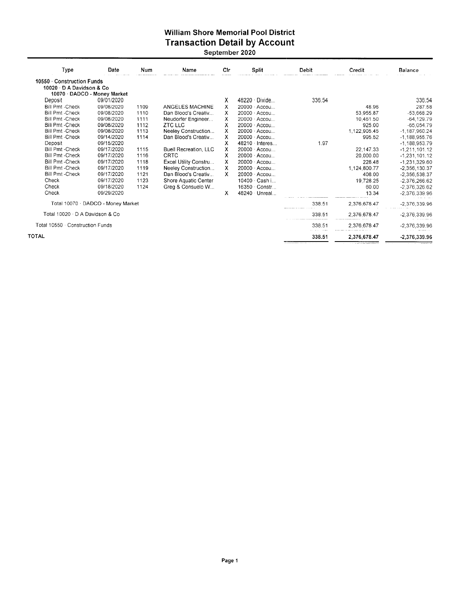#### William Shore Memorial Pool District Transaction Detail by Account September 2020

| Type                           | Date                               | Num  | Name                         | Cir | <b>Split</b>          | Debit                                                | Credit       | <b>Balance</b>     |
|--------------------------------|------------------------------------|------|------------------------------|-----|-----------------------|------------------------------------------------------|--------------|--------------------|
| 10550 Construction Funds       |                                    |      |                              |     |                       |                                                      |              |                    |
| 10020 D A Davidson & Co        |                                    |      |                              |     |                       |                                                      |              |                    |
|                                | 10070 · DADCO - Money Market       |      |                              |     |                       |                                                      |              |                    |
| Deposit                        | 09/01/2020                         |      |                              | х   | 48220 Divide          | 336.54                                               |              | 336.54             |
| <b>Bill Pmt -Check</b>         | 09/08/2020                         | 1109 | ANGELES MACHINE              | x   | 20000 Accou           |                                                      | 48.96        | 287.58             |
| <b>Bill Pmt -Check</b>         | 09/08/2020                         | 1110 | Dan Blood's Creativ          | x   | 20000 Accou           |                                                      | 53.955.87    | $-53,668.29$       |
| <b>Bill Pmt - Check</b>        | 09/08/2020                         | 1111 | Neudorfer Engineer           | x   | 20000 Accou           |                                                      | 10.461.50    | $-64, 129.79$      |
| <b>Bill Pmt - Check</b>        | 09/08/2020                         | 1112 | ZTC LLC                      | x   | 20000 · Accou         |                                                      | 925.00       | $-65,054.79$       |
| <b>Bill Pmt -Check</b>         | 09/08/2020                         | 1113 | Neeley Construction          | х   | $20000 \cdot$ Accou   |                                                      | 1,122,905.45 | $-1,187,960.24$    |
| <b>Bill Pmt - Check</b>        | 09/14/2020                         | 1114 | Dan Blood's Creativ          | х   | 20000 · Accou         |                                                      | 995.52       | $-1,188,955.76$    |
| Deposit                        | 09/15/2020                         |      |                              | х   | $48210 \cdot$ Interes | 1.97                                                 |              | $-1, 188, 953, 79$ |
| <b>Bill Pmt - Check</b>        | 09/17/2020                         | 1115 | <b>Buell Recreation, LLC</b> | x   | 20000 · Accou         |                                                      | 22.147.33    | $-1, 211, 101.12$  |
| <b>Bill Pmt - Check</b>        | 09/17/2020                         | 1116 | <b>CRTC</b>                  | х   | 20000 · Accou         |                                                      | 20,000.00    | $-1,231,101.12$    |
| <b>Bill Pmt-Check</b>          | 09/17/2020                         | 1118 | Excel Utility Constru        | x   | 20000 · Accou         |                                                      | 228.48       | -1.231,329.60      |
| <b>Bill Pmt-Check</b>          | 09/17/2020                         | 1119 | Neeley Construction          | X   | $20000 \cdot$ Accou   |                                                      | 1,124,800.77 | $-2,356,130.37$    |
| <b>Bill Pmt-Check</b>          | 09/17/2020                         | 1121 | Dan Blood's Creativ          | x.  | $20000 \cdot$ Accou   |                                                      | 408.00       | $-2,356,538.37$    |
| Check                          | 09/17/2020                         | 1123 | Shore Aquatic Center         |     | 10400 · Cash i        |                                                      | 19,728.25    | $-2,376,266.62$    |
| Check                          | 09/18/2020                         | 1124 | Greg & Consuelo W            |     | 16350 Constr          |                                                      | 60.00        | $-2,376,326.62$    |
| Check                          | 09/29/2020                         |      |                              | х   | 48240 Unreal          |                                                      | 13.34        | $-2.376.339.96$    |
|                                | Total 10070 · DADCO - Money Market |      |                              |     |                       | 338.51<br>means an early and a means of the contract | 2,376,678.47 | $-2,376,339.96$    |
| Total 10020 D A Davidson & Co  |                                    |      |                              |     |                       | 338.51                                               | 2,376,678.47 | $-2,376,339.96$    |
| Total 10550 Construction Funds |                                    |      |                              |     |                       | 338.51                                               | 2,376,678.47 | $-2,376,339.96$    |
| <b>TOTAL</b>                   |                                    |      |                              |     |                       | 338.51                                               | 2,376,678.47 | -2,376,339.96      |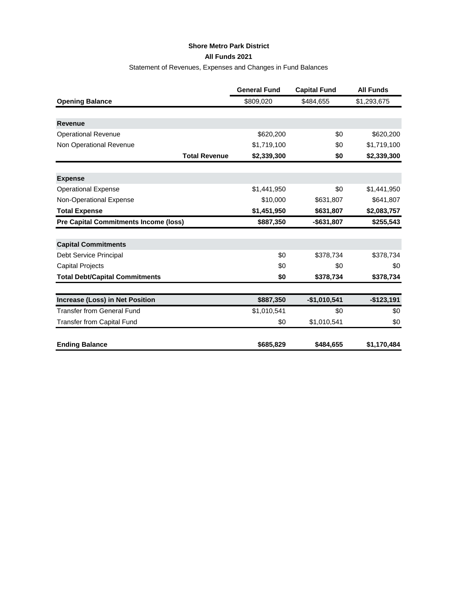#### **Shore Metro Park District**

**All Funds 2021**

# Statement of Revenues, Expenses and Changes in Fund Balances

|                                              | <b>General Fund</b> | <b>Capital Fund</b> | <b>All Funds</b> |
|----------------------------------------------|---------------------|---------------------|------------------|
| <b>Opening Balance</b>                       | \$809,020           | \$484,655           | \$1,293,675      |
|                                              |                     |                     |                  |
| <b>Revenue</b>                               |                     |                     |                  |
| <b>Operational Revenue</b>                   | \$620,200           | \$0                 | \$620,200        |
| Non Operational Revenue                      | \$1,719,100         | \$0                 | \$1,719,100      |
| <b>Total Revenue</b>                         | \$2,339,300         | \$0                 | \$2,339,300      |
|                                              |                     |                     |                  |
| <b>Expense</b>                               |                     |                     |                  |
| <b>Operational Expense</b>                   | \$1,441,950         | \$0                 | \$1,441,950      |
| Non-Operational Expense                      | \$10,000            | \$631,807           | \$641,807        |
| <b>Total Expense</b>                         | \$1,451,950         | \$631,807           | \$2,083,757      |
| <b>Pre Capital Commitments Income (loss)</b> | \$887,350           | $-$631,807$         | \$255,543        |
|                                              |                     |                     |                  |
| <b>Capital Commitments</b>                   |                     |                     |                  |
| Debt Service Principal                       | \$0                 | \$378,734           | \$378,734        |
| <b>Capital Projects</b>                      | \$0                 | \$0                 | \$0              |
| <b>Total Debt/Capital Commitments</b>        | \$0                 | \$378,734           | \$378,734        |
|                                              |                     |                     |                  |
| Increase (Loss) in Net Position              | \$887,350           | $-$1,010,541$       | $-$123,191$      |
| <b>Transfer from General Fund</b>            | \$1,010,541         | \$0                 | \$0              |
| <b>Transfer from Capital Fund</b>            | \$0                 | \$1,010,541         | \$0              |
| <b>Ending Balance</b>                        | \$685,829           | \$484,655           | \$1,170,484      |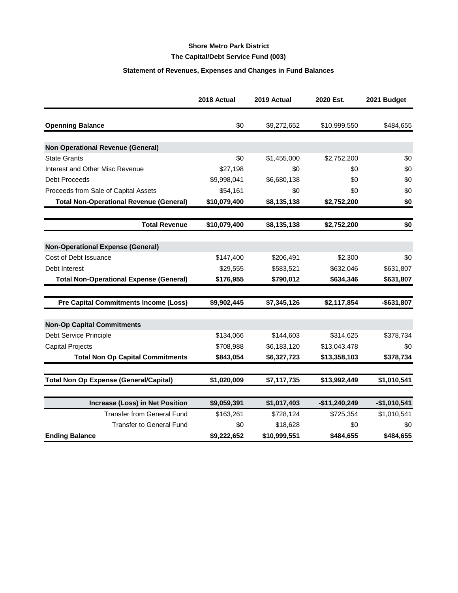# **Shore Metro Park District The Capital/Debt Service Fund (003)**

#### **Statement of Revenues, Expenses and Changes in Fund Balances**

|                                                | 2018 Actual  | 2019 Actual  | 2020 Est.      | 2021 Budget   |
|------------------------------------------------|--------------|--------------|----------------|---------------|
| <b>Openning Balance</b>                        | \$0          | \$9,272,652  | \$10,999,550   | \$484,655     |
|                                                |              |              |                |               |
| <b>Non Operational Revenue (General)</b>       |              |              |                |               |
| <b>State Grants</b>                            | \$0          | \$1,455,000  | \$2,752,200    | \$0           |
| Interest and Other Misc Revenue                | \$27,198     | \$0          | \$0            | \$0           |
| <b>Debt Proceeds</b>                           | \$9,998,041  | \$6,680,138  | \$0            | \$0           |
| Proceeds from Sale of Capital Assets           | \$54,161     | \$0          | \$0            | \$0           |
| <b>Total Non-Operational Revenue (General)</b> | \$10,079,400 | \$8,135,138  | \$2,752,200    | \$0           |
| <b>Total Revenue</b>                           | \$10,079,400 | \$8,135,138  | \$2,752,200    | \$0           |
| <b>Non-Operational Expense (General)</b>       |              |              |                |               |
| Cost of Debt Issuance                          | \$147,400    | \$206,491    | \$2,300        | \$0           |
| Debt Interest                                  | \$29,555     | \$583,521    | \$632,046      | \$631,807     |
| <b>Total Non-Operational Expense (General)</b> | \$176,955    | \$790,012    | \$634,346      | \$631,807     |
|                                                |              |              |                |               |
| <b>Pre Capital Commitments Income (Loss)</b>   | \$9,902,445  | \$7,345,126  | \$2,117,854    | $-$631,807$   |
| <b>Non-Op Capital Commitments</b>              |              |              |                |               |
| Debt Service Principle                         | \$134,066    | \$144,603    | \$314,625      | \$378,734     |
| <b>Capital Projects</b>                        | \$708,988    | \$6,183,120  | \$13,043,478   | \$0           |
| <b>Total Non Op Capital Commitments</b>        | \$843,054    | \$6,327,723  | \$13,358,103   | \$378,734     |
| <b>Total Non Op Expense (General/Capital)</b>  | \$1,020,009  | \$7,117,735  | \$13,992,449   | \$1,010,541   |
|                                                |              |              |                |               |
| Increase (Loss) in Net Position                | \$9,059,391  | \$1,017,403  | $-$11,240,249$ | $-$1,010,541$ |
| <b>Transfer from General Fund</b>              | \$163,261    | \$728,124    | \$725,354      | \$1,010,541   |
| <b>Transfer to General Fund</b>                | \$0          | \$18,628     | \$0            | \$0           |
| <b>Ending Balance</b>                          | \$9,222,652  | \$10,999,551 | \$484,655      | \$484,655     |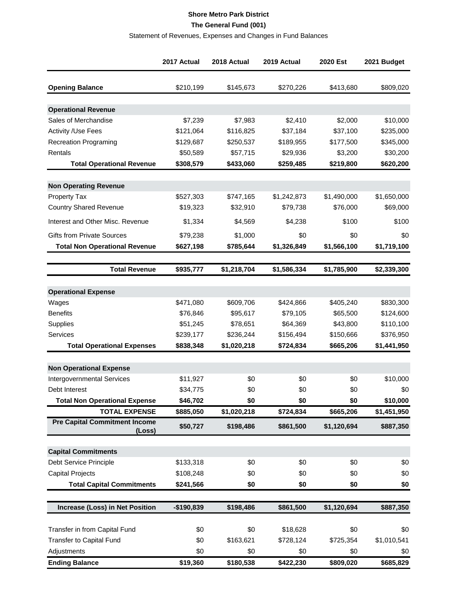#### **Shore Metro Park District The General Fund (001)**

#### Statement of Revenues, Expenses and Changes in Fund Balances

|                                                | 2017 Actual | 2018 Actual | 2019 Actual | 2020 Est    | 2021 Budget |
|------------------------------------------------|-------------|-------------|-------------|-------------|-------------|
| <b>Opening Balance</b>                         | \$210,199   | \$145,673   | \$270,226   | \$413,680   | \$809,020   |
|                                                |             |             |             |             |             |
| <b>Operational Revenue</b>                     |             |             |             |             |             |
| Sales of Merchandise                           | \$7,239     | \$7,983     | \$2,410     | \$2,000     | \$10,000    |
| <b>Activity /Use Fees</b>                      | \$121,064   | \$116,825   | \$37,184    | \$37,100    | \$235,000   |
| <b>Recreation Programing</b>                   | \$129,687   | \$250,537   | \$189,955   | \$177,500   | \$345,000   |
| Rentals                                        | \$50,589    | \$57,715    | \$29,936    | \$3,200     | \$30,200    |
| <b>Total Operational Revenue</b>               | \$308,579   | \$433,060   | \$259,485   | \$219,800   | \$620,200   |
| <b>Non Operating Revenue</b>                   |             |             |             |             |             |
| Property Tax                                   | \$527,303   | \$747,165   | \$1,242,873 | \$1,490,000 | \$1,650,000 |
| <b>Country Shared Revenue</b>                  | \$19,323    | \$32,910    | \$79,738    | \$76,000    | \$69,000    |
| Interest and Other Misc. Revenue               | \$1,334     | \$4,569     | \$4,238     | \$100       | \$100       |
| <b>Gifts from Private Sources</b>              | \$79,238    | \$1,000     | \$0         | \$0         | \$0         |
| <b>Total Non Operational Revenue</b>           | \$627,198   | \$785,644   | \$1,326,849 | \$1,566,100 | \$1,719,100 |
|                                                |             |             |             |             |             |
| <b>Total Revenue</b>                           | \$935,777   | \$1,218,704 | \$1,586,334 | \$1,785,900 | \$2,339,300 |
|                                                |             |             |             |             |             |
| <b>Operational Expense</b>                     |             |             |             |             |             |
| Wages                                          | \$471,080   | \$609,706   | \$424,866   | \$405,240   | \$830,300   |
| <b>Benefits</b>                                | \$76,846    | \$95,617    | \$79,105    | \$65,500    | \$124,600   |
| Supplies                                       | \$51,245    | \$78,651    | \$64,369    | \$43,800    | \$110,100   |
| Services                                       | \$239,177   | \$236,244   | \$156,494   | \$150,666   | \$376,950   |
| <b>Total Operational Expenses</b>              | \$838,348   | \$1,020,218 | \$724,834   | \$665,206   | \$1,441,950 |
| <b>Non Operational Expense</b>                 |             |             |             |             |             |
| Intergovernmental Services                     | \$11,927    | \$0         | \$0         | \$0         | \$10,000    |
| Debt Interest                                  | \$34,775    | \$0         | \$0         | \$0         | \$0         |
| <b>Total Non Operational Expense</b>           | \$46,702    | \$0         | \$0         | \$0         | \$10,000    |
| <b>TOTAL EXPENSE</b>                           | \$885,050   | \$1,020,218 | \$724,834   | \$665,206   | \$1,451,950 |
| <b>Pre Capital Commitment Income</b><br>(Loss) | \$50,727    | \$198,486   | \$861,500   | \$1,120,694 | \$887,350   |
|                                                |             |             |             |             |             |
| <b>Capital Commitments</b>                     |             |             |             |             |             |
| Debt Service Principle                         | \$133,318   | \$0         | \$0         | \$0         | \$0         |
| <b>Capital Projects</b>                        | \$108,248   | \$0         | \$0         | \$0         | \$0         |
| <b>Total Capital Commitments</b>               | \$241,566   | \$0         | \$0         | \$0         | \$0         |
| Increase (Loss) in Net Position                | -\$190,839  | \$198,486   | \$861,500   | \$1,120,694 | \$887,350   |
|                                                |             |             |             |             |             |
| Transfer in from Capital Fund                  | \$0         | \$0         | \$18,628    | \$0         | \$0         |
| Transfer to Capital Fund                       | \$0         | \$163,621   | \$728,124   | \$725,354   | \$1,010,541 |
| Adjustments                                    | \$0         | \$0         | \$0         | \$0         | \$0         |
| <b>Ending Balance</b>                          | \$19,360    | \$180,538   | \$422,230   | \$809,020   | \$685,829   |